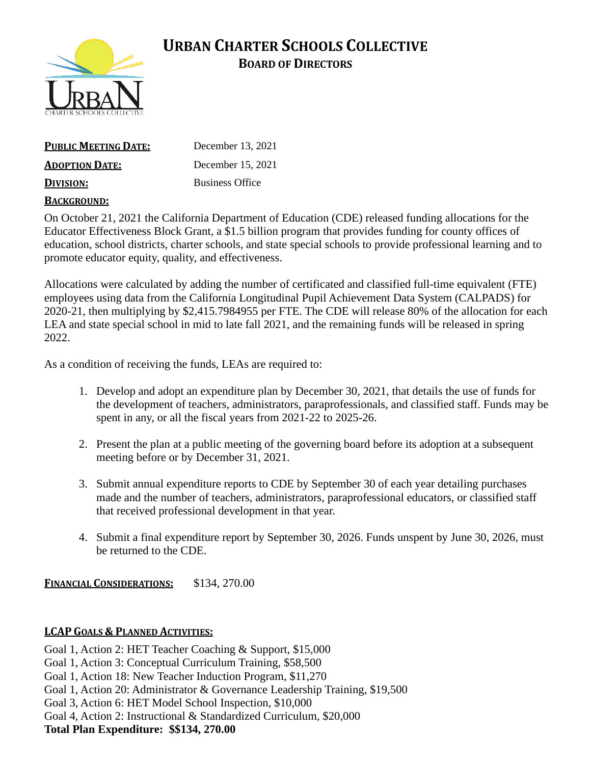

# **URBAN CHARTER SCHOOLS COLLECTIVE BOARD OF DIRECTORS**

| <b>PUBLIC MEETING DATE:</b> | December 13, 2021      |
|-----------------------------|------------------------|
| <b>ADOPTION DATE:</b>       | December 15, 2021      |
| <b>DIVISION:</b>            | <b>Business Office</b> |
| BACKGROUND:                 |                        |

On October 21, 2021 the California Department of Education (CDE) released funding allocations for the Educator Effectiveness Block Grant, a \$1.5 billion program that provides funding for county offices of education, school districts, charter schools, and state special schools to provide professional learning and to promote educator equity, quality, and effectiveness.

Allocations were calculated by adding the number of certificated and classified full-time equivalent (FTE) employees using data from the California Longitudinal Pupil Achievement Data System (CALPADS) for 2020-21, then multiplying by \$2,415.7984955 per FTE. The CDE will release 80% of the allocation for each LEA and state special school in mid to late fall 2021, and the remaining funds will be released in spring 2022.

As a condition of receiving the funds, LEAs are required to:

- 1. Develop and adopt an expenditure plan by December 30, 2021, that details the use of funds for the development of teachers, administrators, paraprofessionals, and classified staff. Funds may be spent in any, or all the fiscal years from 2021-22 to 2025-26.
- 2. Present the plan at a public meeting of the governing board before its adoption at a subsequent meeting before or by December 31, 2021.
- 3. Submit annual expenditure reports to CDE by September 30 of each year detailing purchases made and the number of teachers, administrators, paraprofessional educators, or classified staff that received professional development in that year.
- 4. Submit a final expenditure report by September 30, 2026. Funds unspent by June 30, 2026, must be returned to the CDE.

**FINANCIAL CONSIDERATIONS:** \$134, 270.00

#### **LCAP GOALS & PLANNED ACTIVITIES:**

Goal 1, Action 2: HET Teacher Coaching & Support, \$15,000

Goal 1, Action 3: Conceptual Curriculum Training, \$58,500

Goal 1, Action 18: New Teacher Induction Program, \$11,270

Goal 1, Action 20: Administrator & Governance Leadership Training, \$19,500

Goal 3, Action 6: HET Model School Inspection, \$10,000

Goal 4, Action 2: Instructional & Standardized Curriculum, \$20,000

**Total Plan Expenditure: \$\$134, 270.00**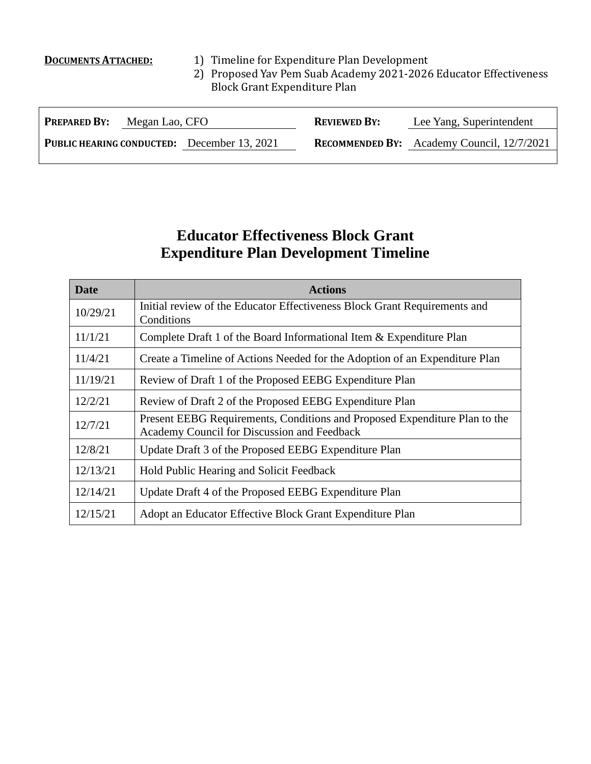- **DOCUMENTS ATTACHED:** 1) Timeline for Expenditure Plan Development
	- 2) Proposed Yav Pem Suab Academy 2021-2026 Educator Effectiveness Block Grant Expenditure Plan

| <b>PREPARED BY:</b><br>Megan Lao, CFO              |  | <b>REVIEWED BY:</b> | Lee Yang, Superintendent                          |  |  |  |
|----------------------------------------------------|--|---------------------|---------------------------------------------------|--|--|--|
| <b>PUBLIC HEARING CONDUCTED:</b> December 13, 2021 |  |                     | <b>RECOMMENDED BY:</b> Academy Council, 12/7/2021 |  |  |  |
|                                                    |  |                     |                                                   |  |  |  |

## **Educator Effectiveness Block Grant Expenditure Plan Development Timeline**

| <b>Date</b> | <b>Actions</b>                                                                                                            |
|-------------|---------------------------------------------------------------------------------------------------------------------------|
| 10/29/21    | Initial review of the Educator Effectiveness Block Grant Requirements and<br>Conditions                                   |
| 11/1/21     | Complete Draft 1 of the Board Informational Item & Expenditure Plan                                                       |
| 11/4/21     | Create a Timeline of Actions Needed for the Adoption of an Expenditure Plan                                               |
| 11/19/21    | Review of Draft 1 of the Proposed EEBG Expenditure Plan                                                                   |
| 12/2/21     | Review of Draft 2 of the Proposed EEBG Expenditure Plan                                                                   |
| 12/7/21     | Present EEBG Requirements, Conditions and Proposed Expenditure Plan to the<br>Academy Council for Discussion and Feedback |
| 12/8/21     | Update Draft 3 of the Proposed EEBG Expenditure Plan                                                                      |
| 12/13/21    | Hold Public Hearing and Solicit Feedback                                                                                  |
| 12/14/21    | Update Draft 4 of the Proposed EEBG Expenditure Plan                                                                      |
| 12/15/21    | Adopt an Educator Effective Block Grant Expenditure Plan                                                                  |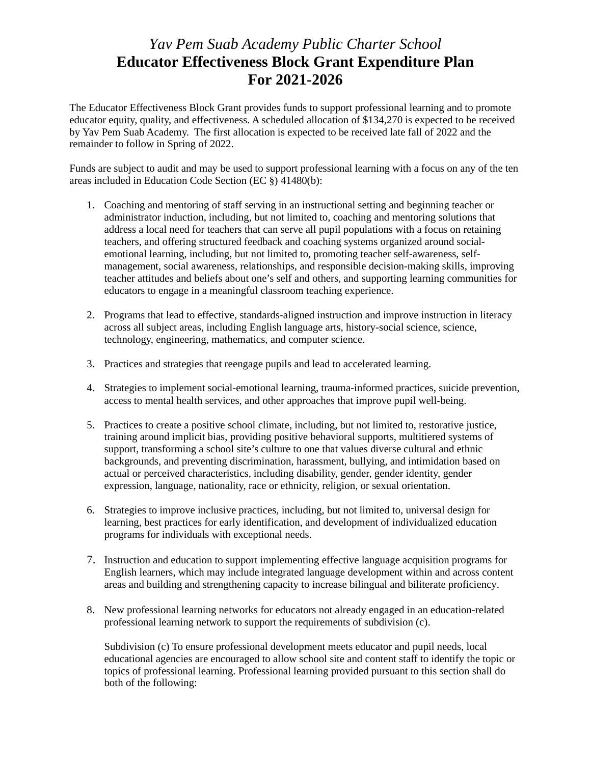#### *Yav Pem Suab Academy Public Charter School* **Educator Effectiveness Block Grant Expenditure Plan For 2021-2026**

The Educator Effectiveness Block Grant provides funds to support professional learning and to promote educator equity, quality, and effectiveness. A scheduled allocation of \$134,270 is expected to be received by Yav Pem Suab Academy. The first allocation is expected to be received late fall of 2022 and the remainder to follow in Spring of 2022.

Funds are subject to audit and may be used to support professional learning with a focus on any of the ten areas included in Education Code Section (EC §) 41480(b):

- 1. Coaching and mentoring of staff serving in an instructional setting and beginning teacher or administrator induction, including, but not limited to, coaching and mentoring solutions that address a local need for teachers that can serve all pupil populations with a focus on retaining teachers, and offering structured feedback and coaching systems organized around socialemotional learning, including, but not limited to, promoting teacher self-awareness, selfmanagement, social awareness, relationships, and responsible decision-making skills, improving teacher attitudes and beliefs about one's self and others, and supporting learning communities for educators to engage in a meaningful classroom teaching experience.
- 2. Programs that lead to effective, standards-aligned instruction and improve instruction in literacy across all subject areas, including English language arts, history-social science, science, technology, engineering, mathematics, and computer science.
- 3. Practices and strategies that reengage pupils and lead to accelerated learning.
- 4. Strategies to implement social-emotional learning, trauma-informed practices, suicide prevention, access to mental health services, and other approaches that improve pupil well-being.
- 5. Practices to create a positive school climate, including, but not limited to, restorative justice, training around implicit bias, providing positive behavioral supports, multitiered systems of support, transforming a school site's culture to one that values diverse cultural and ethnic backgrounds, and preventing discrimination, harassment, bullying, and intimidation based on actual or perceived characteristics, including disability, gender, gender identity, gender expression, language, nationality, race or ethnicity, religion, or sexual orientation.
- 6. Strategies to improve inclusive practices, including, but not limited to, universal design for learning, best practices for early identification, and development of individualized education programs for individuals with exceptional needs.
- 7. Instruction and education to support implementing effective language acquisition programs for English learners, which may include integrated language development within and across content areas and building and strengthening capacity to increase bilingual and biliterate proficiency.
- 8. New professional learning networks for educators not already engaged in an education-related professional learning network to support the requirements of subdivision (c).

Subdivision (c) To ensure professional development meets educator and pupil needs, local educational agencies are encouraged to allow school site and content staff to identify the topic or topics of professional learning. Professional learning provided pursuant to this section shall do both of the following: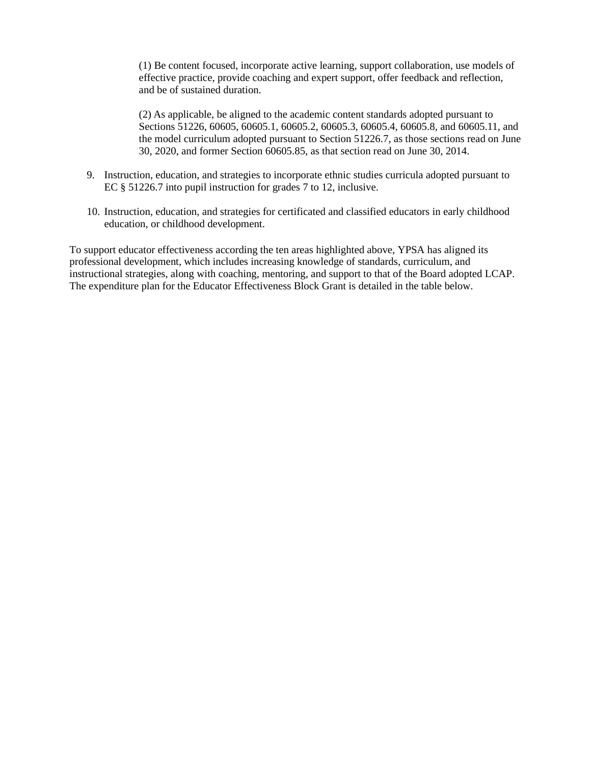(1) Be content focused, incorporate active learning, support collaboration, use models of effective practice, provide coaching and expert support, offer feedback and reflection, and be of sustained duration.

(2) As applicable, be aligned to the academic content standards adopted pursuant to Sections 51226, 60605, 60605.1, 60605.2, 60605.3, 60605.4, 60605.8, and 60605.11, and the model curriculum adopted pursuant to Section 51226.7, as those sections read on June 30, 2020, and former Section 60605.85, as that section read on June 30, 2014.

- 9. Instruction, education, and strategies to incorporate ethnic studies curricula adopted pursuant to EC § 51226.7 into pupil instruction for grades 7 to 12, inclusive.
- 10. Instruction, education, and strategies for certificated and classified educators in early childhood education, or childhood development.

To support educator effectiveness according the ten areas highlighted above, YPSA has aligned its professional development, which includes increasing knowledge of standards, curriculum, and instructional strategies, along with coaching, mentoring, and support to that of the Board adopted LCAP. The expenditure plan for the Educator Effectiveness Block Grant is detailed in the table below.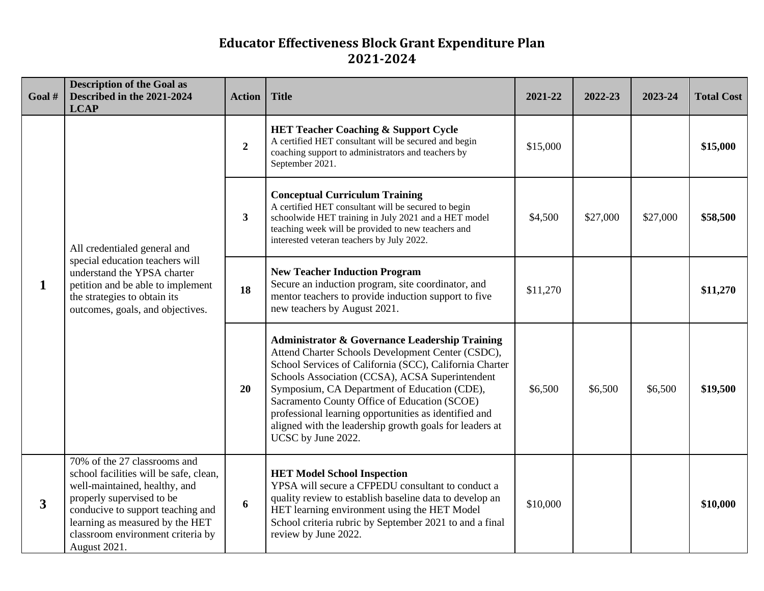## **Educator Effectiveness Block Grant Expenditure Plan 2021-2024**

| Goal #                  | <b>Description of the Goal as</b><br>Described in the 2021-2024<br><b>LCAP</b>                                                                                                                                                                                    | <b>Action</b>    | <b>Title</b>                                                                                                                                                                                                                                                                                                                                                                                                                                                           | 2021-22  | 2022-23  | 2023-24  | <b>Total Cost</b> |
|-------------------------|-------------------------------------------------------------------------------------------------------------------------------------------------------------------------------------------------------------------------------------------------------------------|------------------|------------------------------------------------------------------------------------------------------------------------------------------------------------------------------------------------------------------------------------------------------------------------------------------------------------------------------------------------------------------------------------------------------------------------------------------------------------------------|----------|----------|----------|-------------------|
| $\mathbf{1}$            | All credentialed general and<br>special education teachers will<br>understand the YPSA charter<br>petition and be able to implement<br>the strategies to obtain its<br>outcomes, goals, and objectives.                                                           | $\overline{2}$   | <b>HET Teacher Coaching &amp; Support Cycle</b><br>A certified HET consultant will be secured and begin<br>coaching support to administrators and teachers by<br>September 2021.                                                                                                                                                                                                                                                                                       | \$15,000 |          |          | \$15,000          |
|                         |                                                                                                                                                                                                                                                                   | $\mathbf{3}$     | <b>Conceptual Curriculum Training</b><br>A certified HET consultant will be secured to begin<br>schoolwide HET training in July 2021 and a HET model<br>teaching week will be provided to new teachers and<br>interested veteran teachers by July 2022.                                                                                                                                                                                                                | \$4,500  | \$27,000 | \$27,000 | \$58,500          |
|                         |                                                                                                                                                                                                                                                                   | 18               | <b>New Teacher Induction Program</b><br>Secure an induction program, site coordinator, and<br>mentor teachers to provide induction support to five<br>new teachers by August 2021.                                                                                                                                                                                                                                                                                     | \$11,270 |          |          | \$11,270          |
|                         |                                                                                                                                                                                                                                                                   | 20               | <b>Administrator &amp; Governance Leadership Training</b><br>Attend Charter Schools Development Center (CSDC),<br>School Services of California (SCC), California Charter<br>Schools Association (CCSA), ACSA Superintendent<br>Symposium, CA Department of Education (CDE),<br>Sacramento County Office of Education (SCOE)<br>professional learning opportunities as identified and<br>aligned with the leadership growth goals for leaders at<br>UCSC by June 2022. | \$6,500  | \$6,500  | \$6,500  | \$19,500          |
| $\overline{\mathbf{3}}$ | 70% of the 27 classrooms and<br>school facilities will be safe, clean,<br>well-maintained, healthy, and<br>properly supervised to be<br>conducive to support teaching and<br>learning as measured by the HET<br>classroom environment criteria by<br>August 2021. | $\boldsymbol{6}$ | <b>HET Model School Inspection</b><br>YPSA will secure a CFPEDU consultant to conduct a<br>quality review to establish baseline data to develop an<br>HET learning environment using the HET Model<br>School criteria rubric by September 2021 to and a final<br>review by June 2022.                                                                                                                                                                                  | \$10,000 |          |          | \$10,000          |